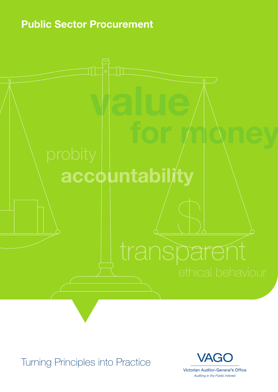**Public Sector Procurement**



Turning Principles into Practice

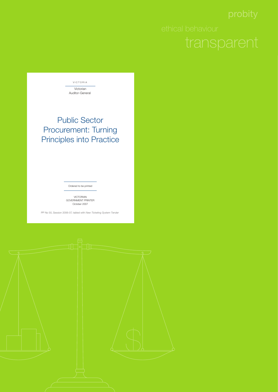

### Public Sector Procurement: Turning Principles into Practice

Ordered to be printed

VICTORIAN<br>GOVERNMENT PRINTER October 2007

PP No 50, Session 2006-07, tabled with New Ticketing System Tender

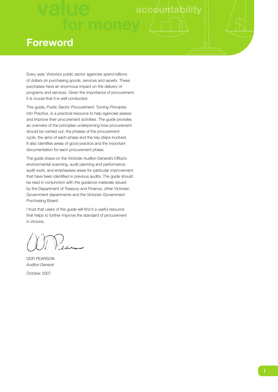### **Foreword**

Every year, Victoria's public sector agencies spend billions of dollars on purchasing goods, services and assets. These purchases have an enormous impact on the delivery of programs and services. Given the importance of procurement, it is crucial that it is well conducted.

This guide, *Public Sector Procurement: Turning Principles into Practice*, is a practical resource to help agencies assess and improve their procurement activities. The guide provides an overview of the principles underpinning how procurement should be carried out, the phases of the procurement cycle, the aims of each phase and the key steps involved. It also identifies areas of good practice and the important documentation for each procurement phase.

The guide draws on the Victorian Auditor-General's Office's environmental scanning, audit planning and performance audit work, and emphasises areas for particular improvement that have been identified in previous audits. The guide should be read in conjunction with the guidance materials issued by the Department of Treasury and Finance, other Victorian Government departments and the Victorian Government Purchasing Board.

I trust that users of the guide will find it a useful resource that helps to further improve the standard of procurement in Victoria.

)<br>eum

DDR PEARSON *Auditor-General*

October 2007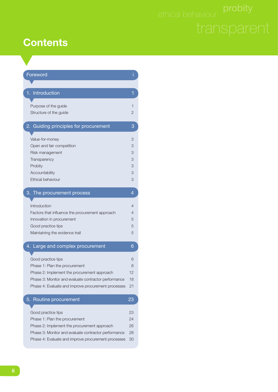### **Contents**

| Foreword                                             |    |
|------------------------------------------------------|----|
|                                                      |    |
| 1. Introduction                                      | 1  |
| Purpose of the guide                                 | 1  |
| Structure of the guide                               | 2  |
| 2. Guiding principles for procurement                | 3  |
| Value-for-money                                      | 3  |
| Open and fair competition                            | 3  |
| Risk management                                      | 3  |
| Transparency                                         | 3  |
| Probity                                              | 3  |
| Accountability                                       | 3  |
| <b>Ethical behaviour</b>                             | 3  |
| 3. The procurement process                           | 4  |
| Introduction                                         | 4  |
| Factors that influence the procurement approach      | 4  |
| Innovation in procurement                            | 5  |
| Good practice tips                                   | 5  |
| Maintaining the evidence trail                       | 5  |
| 4. Large and complex procurement                     | 6  |
| Good practice tips                                   | 6  |
| Phase 1: Plan the procurement                        | 8  |
| Phase 2: Implement the procurement approach          | 12 |
| Phase 3: Monitor and evaluate contractor performance | 18 |
| Phase 4: Evaluate and improve procurement processes  | 21 |
| Routine procurement<br>5.                            | 23 |
| Good practice tips                                   | 23 |
| Phase 1: Plan the procurement                        | 24 |
| Phase 2: Implement the procurement approach          | 26 |
| Phase 3: Monitor and evaluate contractor performance | 28 |
| Phase 4: Evaluate and improve procurement processes  | 30 |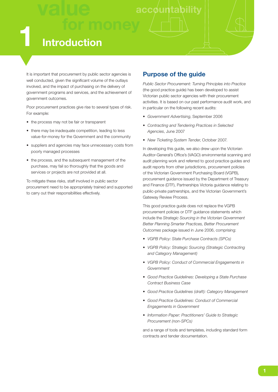### **value accountability 1 Introduction**

It is important that procurement by public sector agencies is well conducted, given the significant volume of the outlays involved, and the impact of purchasing on the delivery of government programs and services, and the achievement of government outcomes.

Poor procurement practices give rise to several types of risk. For example:

- the process may not be fair or transparent
- there may be inadequate competition, leading to less value-for-money for the Government and the community
- suppliers and agencies may face unnecessary costs from poorly managed processes
- the process, and the subsequent management of the purchase, may fail so thoroughly that the goods and services or projects are not provided at all.

To mitigate these risks, staff involved in public sector procurement need to be appropriately trained and supported to carry out their responsibilities effectively.

#### **Purpose of the guide**

*Public Sector Procurement: Turning Principles into Practice* (the good practice guide) has been developed to assist Victorian public sector agencies with their procurement activities. It is based on our past performance audit work, and in particular on the following recent audits:

- *Government Advertising*, September 2006
- *Contracting and Tendering Practices in Selected Agencies*, June 2007
- *New Ticketing System Tender*, October 2007.

In developing this guide, we also drew upon the Victorian Auditor-General's Office's (VAGO) environmental scanning and audit planning work and referred to good practice guides and audit reports from other jurisdictions, procurement policies of the Victorian Government Purchasing Board (VGPB), procurement guidance issued by the Department of Treasury and Finance (DTF), Partnerships Victoria guidance relating to public-private partnerships, and the Victorian Government's Gateway Review Process.

This good practice guide does not replace the VGPB procurement policies or DTF guidance statements which include the *Strategic Sourcing in the Victorian Government Better Planning Smarter Practices, Better Procurement Outcomes* package issued in June 2006, comprising:

- *VGPB Policy: State Purchase Contracts (SPCs)*
- *VGPB Policy: Strategic Sourcing (Strategic Contracting and Category Management)*
- *VGPB Policy: Conduct of Commercial Engagements in Government*
- *Good Practice Guidelines: Developing a State Purchase Contract Business Case*
- *Good Practice Guidelines (draft): Category Management*
- *Good Practice Guidelines: Conduct of Commercial Engagements in Government*
- *Information Paper: Practitioners' Guide to Strategic Procurement (non-SPCs)*

and a range of tools and templates, including standard form contracts and tender documentation.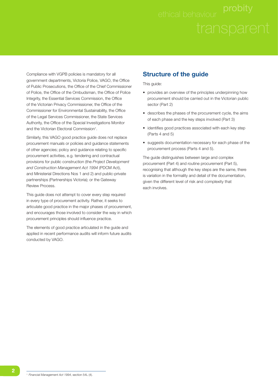Compliance with VGPB policies is mandatory for all government departments, Victoria Police, VAGO, the Office of Public Prosecutions, the Office of the Chief Commissioner of Police, the Office of the Ombudsman, the Office of Police Integrity, the Essential Services Commission, the Office of the Victorian Privacy Commissioner, the Office of the Commissioner for Environmental Sustainability, the Office of the Legal Services Commissioner, the State Services Authority, the Office of the Special Investigations Monitor and the Victorian Electoral Commission<sup>1</sup>.

Similarly, this VAGO good practice guide does not replace procurement manuals or policies and guidance statements of other agencies; policy and guidance relating to specific procurement activities, e.g. tendering and contractual provisions for public construction (the *Project Development and Construction Management Act 1994* (PDCM Act), and Ministerial Directions Nos 1 and 2) and public-private partnerships (Partnerships Victoria); or the Gateway Review Process.

This guide does not attempt to cover every step required in every type of procurement activity. Rather, it seeks to articulate good practice in the major phases of procurement, and encourages those involved to consider the way in which procurement principles should influence practice.

The elements of good practice articulated in the guide and applied in recent performance audits will inform future audits conducted by VAGO.

#### **Structure of the guide**

This guide:

- provides an overview of the principles underpinning how procurement should be carried out in the Victorian public sector (Part 2)
- describes the phases of the procurement cycle, the aims of each phase and the key steps involved (Part 3)
- identifies good practices associated with each key step (Parts 4 and 5)
- suggests documentation necessary for each phase of the procurement process (Parts 4 and 5).

The guide distinguishes between large and complex procurement (Part 4) and routine procurement (Part 5), recognising that although the key steps are the same, there is variation in the formality and detail of the documentation, given the different level of risk and complexity that each involves.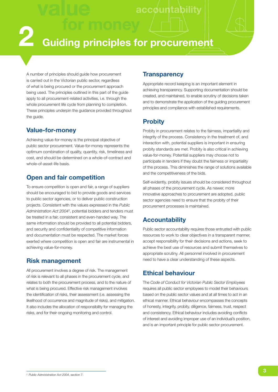**accountability** 

### **2 Guiding principles for procurement**

A number of principles should guide how procurement is carried out in the Victorian public sector, regardless of what is being procured or the procurement approach being used. The principles outlined in this part of the guide apply to all procurement-related activities, i.e. through the whole procurement life cycle from planning to completion. These principles underpin the guidance provided throughout the guide.

#### **Value-for-money**

Achieving value-for-money is the principal objective of public sector procurement. Value-for-money represents the optimum combination of quality, quantity, risk, timeliness and cost, and should be determined on a whole-of-contract and whole-of-asset-life basis.

#### **Open and fair competition**

To ensure competition is open and fair, a range of suppliers should be encouraged to bid to provide goods and services to public sector agencies, or to deliver public construction projects. Consistent with the values expressed in the *Public Administration Act 2004*<sup>2</sup> , potential bidders and tenders must be treated in a fair, consistent and even-handed way. The same information should be provided to all potential bidders, and security and confidentiality of competitive information and documentation must be respected. The market forces exerted where competition is open and fair are instrumental in achieving value-for-money.

#### **Risk management**

All procurement involves a degree of risk. The management of risk is relevant to all phases in the procurement cycle, and relates to both the procurement process, and to the nature of what is being procured. Effective risk management involves the identification of risks, their assessment (i.e. assessing the likelihood of occurrence and magnitude of risks), and mitigation. It also includes the allocation of responsibility for managing the risks, and for their ongoing monitoring and control.

#### **Transparency**

Appropriate record keeping is an important element in achieving transparency. Supporting documentation should be created, and maintained, to enable scrutiny of decisions taken and to demonstrate the application of the guiding procurement principles and compliance with established requirements.

#### **Probity**

Probity in procurement relates to the fairness, impartiality and integrity of the process. Consistency in the treatment of, and interaction with, potential suppliers is important in ensuring probity standards are met. Probity is also critical in achieving value-for-money. Potential suppliers may choose not to participate in tenders if they doubt the fairness or impartiality of the process. This diminishes the range of solutions available and the competitiveness of the bids.

Self-evidently, probity issues should be considered throughout all phases of the procurement cycle. As newer, more innovative approaches to procurement are adopted, public sector agencies need to ensure that the probity of their procurement processes is maintained.

#### **Accountability**

Public sector accountability requires those entrusted with public resources to work to clear objectives in a transparent manner, accept responsibility for their decisions and actions, seek to achieve the best use of resources and submit themselves to appropriate scrutiny. All personnel involved in procurement need to have a clear understanding of these aspects.

#### **Ethical behaviour**

The *Code of Conduct for Victorian Public Sector Employees* requires all public sector employees to model their behaviours based on the public sector values and at all times to act in an ethical manner. Ethical behaviour encompasses the concepts of honesty, integrity, probity, diligence, fairness, trust, respect and consistency. Ethical behaviour includes avoiding conflicts of interest and avoiding improper use of an individual's position, and is an important principle for public sector procurement.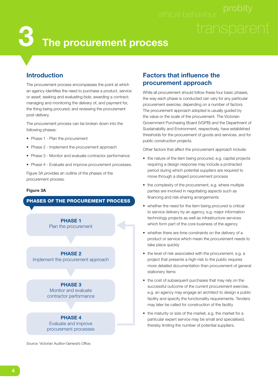### **The procurement process 3**

#### **Introduction**

The procurement process encompasses the point at which an agency identifies the need to purchase a product, service or asset; seeking and evaluating bids; awarding a contract; managing and monitoring the delivery of, and payment for, the thing being procured; and reviewing the procurement post-delivery.

The procurement process can be broken down into the following phases:

- Phase 1 Plan the procurement
- Phase 2 Implement the procurement approach
- Phase 3 Monitor and evaluate contractor performance
- Phase 4 Evaluate and improve procurement processes.

Figure 3A provides an outline of the phases of the procurement process.

#### **Figure 3A**

#### **PHASES OF THE PROCUREMENT PROCESS**

**PHASE 1** Plan the procurement

**PHASE 2** Implement the procurement approach

> **PHASE 3** Monitor and evaluate contractor performance

**PHASE 4** Evaluate and improve procurement processes

Source: Victorian Auditor-General's Office.

#### **Factors that influence the procurement approach**

While all procurement should follow these four basic phases, the way each phase is conducted can vary for any particular procurement exercise, depending on a number of factors. The procurement approach adopted is usually guided by the value or the scale of the procurement. The Victorian Government Purchasing Board (VGPB) and the Department of Sustainability and Environment, respectively, have established thresholds for the procurement of goods and services, and for public construction projects.

Other factors that affect the procurement approach include:

- the nature of the item being procured, e.g. capital projects requiring a design response may include a protracted period during which potential suppliers are required to move through a staged procurement process
- the complexity of the procurement, e.g. where multiple parties are involved in negotiating aspects such as financing and risk-sharing arrangements
- whether the need for the item being procured is critical to service delivery by an agency, e.g. major information technology projects as well as infrastructure services which form part of the core business of the agency
- whether there are time constraints on the delivery of a product or service which mean the procurement needs to take place quickly
- the level of risk associated with the procurement, e.g. a project that presents a high-risk to the public requires more detailed documentation than procurement of general stationery items
- the cost of subsequent purchases that may rely on the successful outcome of the current procurement exercise, e.g. an agency may engage an architect to design a public facility and specify the functionality requirements. Tenders may later be called for construction of the facility
- the maturity or size of the market, e.g. the market for a particular expert service may be small and specialised, thereby limiting the number of potential suppliers.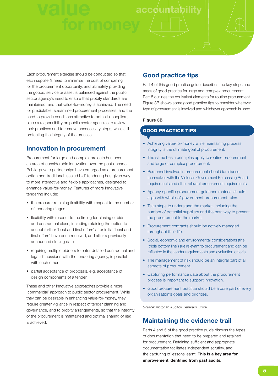Each procurement exercise should be conducted so that each supplier's need to minimise the cost of competing for the procurement opportunity, and ultimately providing the goods, service or asset is balanced against the public sector agency's need to ensure that probity standards are maintained, and that value-for-money is achieved. The need for predictable, streamlined procurement processes, and the need to provide conditions attractive to potential suppliers, place a responsibility on public sector agencies to review their practices and to remove unnecessary steps, while still protecting the integrity of the process.

#### **Innovation in procurement**

Procurement for large and complex projects has been an area of considerable innovation over the past decade. Public-private partnerships have emerged as a procurement option and traditional 'sealed bid' tendering has given way to more interactive and flexible approaches, designed to enhance value-for-money. Features of more innovative tendering include:

- the procurer retaining flexibility with respect to the number of tendering stages
- flexibility with respect to the timing for closing of bids and contractual close, including retaining the option to accept further 'best and final offers' after initial 'best and final offers' have been received, and after a previously announced closing date
- requiring multiple bidders to enter detailed contractual and legal discussions with the tendering agency, in parallel with each other
- partial acceptance of proposals, e.g. acceptance of design components of a tender.

These and other innovative approaches provide a more 'commercial' approach to public sector procurement. While they can be desirable in enhancing value-for-money, they require greater vigilance in respect of tender planning and governance, and to probity arrangements, so that the integrity of the procurement is maintained and optimal sharing of risk is achieved.

#### **Good practice tips**

Part 4 of this good practice guide describes the key steps and areas of good practice for large and complex procurement. Part 5 outlines the equivalent elements for routine procurement. Figure 3B shows some good practice tips to consider whatever type of procurement is involved and whichever approach is used.

#### **Figure 3B**

#### **GOOD PRACTICE TIPS**

- Achieving value-for-money while maintaining process integrity is the ultimate goal of procurement.
- The same basic principles apply to routine procurement and large or complex procurement.
- Personnel involved in procurement should familiarise themselves with the Victorian Government Purchasing Board requirements and other relevant procurement requirements.
- Agency-specific procurement guidance material should align with whole-of-government procurement rules.
- Take steps to understand the market, including the number of potential suppliers and the best way to present the procurement to the market.
- Procurement contracts should be actively managed throughout their life.
- Social, economic and environmental considerations (the 'triple bottom line') are relevant to procurement and can be reflected in the tender requirements and evaluation criteria.
- The management of risk should be an integral part of all aspects of procurement.
- Capturing performance data about the procurement process is important to support innovation.
- Good procurement practice should be a core part of every organisation's goals and priorities.

Source: Victorian Auditor-General's Office.

#### **Maintaining the evidence trail**

Parts 4 and 5 of the good practice guide discuss the types of documentation that need to be prepared and retained for procurement. Retaining sufficient and appropriate documentation facilitates independent scrutiny, and the capturing of lessons learnt. **This is a key area for**  improvement identified from past audits.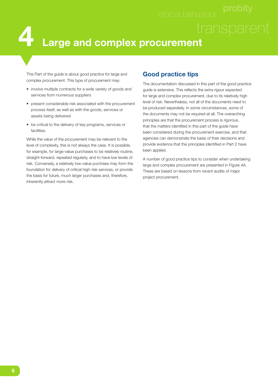This Part of the guide is about good practice for large and complex procurement. This type of procurement may:

- involve multiple contracts for a wide variety of goods and services from numerous suppliers
- present considerable risk associated with the procurement process itself, as well as with the goods, services or assets being delivered
- be critical to the delivery of key programs, services or facilities.

While the value of the procurement may be relevant to the level of complexity, this is not always the case. It is possible, for example, for large-value purchases to be relatively routine, straight-forward, repeated regularly, and to have low levels of risk. Conversely, a relatively low-value purchase may form the foundation for delivery of critical high-risk services, or provide the basis for future, much larger purchases and, therefore, inherently attract more risk.

#### **Good practice tips**

The documentation discussed in this part of the good practice quide is extensive. This reflects the extra rigour expected for large and complex procurement, due to its relatively high level of risk. Nevertheless, not all of the documents need to be produced separately. In some circumstances, some of the documents may not be required at all. The overarching principles are that the procurement process is rigorous, that the matters identified in this part of the guide have been considered during the procurement exercise, and that agencies can demonstrate the basis of their decisions and provide evidence that the principles identified in Part 2 have been applied.

A number of good practice tips to consider when undertaking large and complex procurement are presented in Figure 4A. These are based on lessons from recent audits of major project procurement.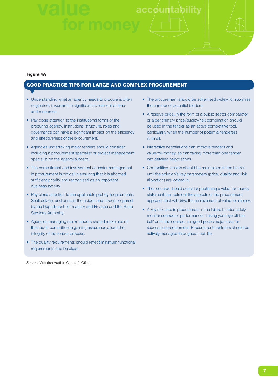#### **Figure 4A**

#### **GOOD PRACTICE TIPS FOR LARGE AND COMPLEX PROCUREMENT**

- Understanding what an agency needs to procure is often neglected; it warrants a significant investment of time and resources.
- Pay close attention to the institutional forms of the procuring agency. Institutional structure, roles and governance can have a significant impact on the efficiency and effectiveness of the procurement.
- Agencies undertaking major tenders should consider including a procurement specialist or project management specialist on the agency's board.
- The commitment and involvement of senior management in procurement is critical in ensuring that it is afforded sufficient priority and recognised as an important business activity.
- Pay close attention to the applicable probity requirements. Seek advice, and consult the guides and codes prepared by the Department of Treasury and Finance and the State Services Authority.
- Agencies managing major tenders should make use of their audit committee in gaining assurance about the integrity of the tender process.
- The quality requirements should reflect minimum functional requirements and be clear.

Source: Victorian Auditor-General's Office.

- The procurement should be advertised widely to maximise the number of potential bidders.
- A reserve price, in the form of a public sector comparator or a benchmark price/quality/risk combination should be used in the tender as an active competitive tool, particularly when the number of potential tenderers is small.
- Interactive negotiations can improve tenders and value-for-money, as can taking more than one tender into detailed negotiations.
- Competitive tension should be maintained in the tender until the solution's key parameters (price, quality and risk allocation) are locked in.
- The procurer should consider publishing a value-for-money statement that sets out the aspects of the procurement approach that will drive the achievement of value-for-money.
- A key risk area in procurement is the failure to adequately monitor contractor performance. 'Taking your eye off the ball' once the contract is signed poses major risks for successful procurement. Procurement contracts should be actively managed throughout their life.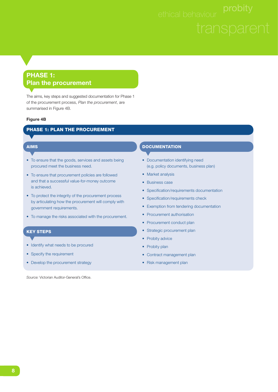### **PHASE 1: Plan the procurement**

The aims, key steps and suggested documentation for Phase 1 of the procurement process, *Plan the procurement*, are summarised in Figure 4B.

#### **Figure 4B**

#### **PHASE 1: PLAN THE PROCUREMENT**

#### **AIMS**

- To ensure that the goods, services and assets being procured meet the business need.
- To ensure that procurement policies are followed and that a successful value-for-money outcome is achieved.
- To protect the integrity of the procurement process by articulating how the procurement will comply with government requirements.
- To manage the risks associated with the procurement.

#### **KEY STEPS**

- Identify what needs to be procured
- Specify the requirement
- Develop the procurement strategy

Source: Victorian Auditor-General's Office.

#### **DOCUMENTATION**

- Documentation identifying need (e.g. policy documents, business plan)
- Market analysis
- Business case
- Specification/requirements documentation
- Specification/requirements check
- Exemption from tendering documentation
- Procurement authorisation
- Procurement conduct plan
- Strategic procurement plan
- Probity advice
- Probity plan
- Contract management plan
- Risk management plan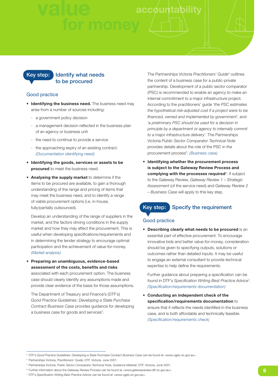

#### Good practice

- **Identifying the business need.** The business need may arise from a number of sources including:
	- a government policy decision
	- a management decision reflected in the business plan of an agency or business unit
	- the need to continue to provide a service
	- the approaching expiry of an existing contract. *(Documentation identifying need)*
- **Identifying the goods, services or assets to be procured** to meet the business need.
- **Analysing the supply market** to determine if the items to be procured are available, to gain a thorough understanding of the range and pricing of items that may meet the business need, and to identify a range of viable procurement options (i.e. in-house, fully/partially outsourced).

 Develop an understanding of the range of suppliers in the market, and the factors driving conditions in the supply market and how they may affect the procurement. This is useful when developing specifications/requirements and in determining the tender strategy to encourage optimal participation and the achievement of value-for-money. *(Market analysis)*

• **Preparing an unambiguous, evidence-based**  assessment of the costs, benefits and risks associated with each procurement option. The business case should clearly identify any assumptions made and provide clear evidence of the basis for those assumptions.

 The Department of Treasury and Finance's (DTF's) *Good Practice Guidelines: Developing a State Purchase Contract Business Case* provides guidance for developing a business case for goods and services<sup>3</sup>.

 The Partnerships Victoria *Practitioners' Guide*<sup>4</sup> outlines the content of a business case for a public-private partnership. Development of a public sector comparator (PSC) is recommended to enable an agency to make an internal commitment to a major infrastructure project. According to the practitioners' guide '*the PSC estimates the hypothetical risk-adjusted cost if a project were to be fi nanced, owned and implemented by government*', and '*a preliminary PSC should be used for a decision in principle by a department or agency to internally commit to a major infrastructure delivery*'. The Partnerships Victoria *Public Sector Comparator Technical Note* provides details about the role of the PSC in the procurement process5 . *(Business case)*

• **Identifying whether the procurement process is subject to the Gateway Review Process and complying with the processes required**<sup>6</sup> . If subject to the Gateway Review, *Gateway Review 1 – Strategic Assessment* (of the service need) and *Gateway Review 2 – Business Case* will apply to this key step.

### **Key step: Specify the requirement**

#### Good practice

• **Describing clearly what needs to be procured** is an essential part of effective procurement. To encourage innovative bids and better value-for-money, consideration should be given to specifying outputs, solutions or outcomes rather than detailed inputs. It may be useful to engage an external consultant to provide technical expertise to help define the requirements.

Further guidance about preparing a specification can be found in DTF's Specification Writing Best Practice Advice<sup>7</sup>. *(Specifi cation/requirements documentation)*

• **Conducting an independent check of the**  specification/requirements documentation to ensure that it reflects the needs identified in the business case, and is both affordable and technically feasible. *(Specification/requirements check)* 

<sup>3</sup> DTF's *Good Practice Guidelines: Developing a State Purchase Contract Business Case* can be found at <www.vgpb.vic.gov.au>.

<sup>4</sup> Partnerships Victoria, *Practitioners' Guide*, DTF, Victoria, June 2001.

<sup>&</sup>lt;sup>5</sup> Partnerships Victoria, *Public Sector Comparator Technical Note, Guidance Material*, DTF, Victoria, June 2001.

<sup>6</sup> Further information about the Gateway Review Process can be found at <www.gatewayreview.dtf.vic.gov.au>.

<sup>7</sup> DTF's *Specifi cation Writing Best Practice Advice* can be found at <www.vgpb.vic.gov.au>.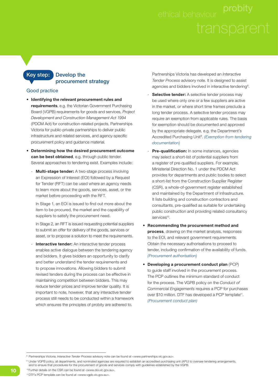#### **Key step: Develop the procurement strategy**

#### Good practice

- **Identifying the relevant procurement rules and requirements**, e.g. the Victorian Government Purchasing Board (VGPB) requirements for goods and services, *Project Development and Construction Management Act 1994* (PDCM Act) for construction-related projects, Partnerships Victoria for public-private partnerships to deliver public infrastructure and related services, and agency-specific procurement policy and guidance material.
- **Determining how the desired procurement outcome can be best obtained**, e.g. through public tender. Several approaches to tendering exist. Examples include:
	- **Multi-stage tender:** A two-stage process involving an Expression of Interest (EOI) followed by a Request for Tender (RFT) can be used where an agency needs to learn more about the goods, services, asset, or the market before proceeding with the RFT.

In Stage 1, an EOI is issued to find out more about the item to be procured, the market and the capability of suppliers to satisfy the procurement need.

 In Stage 2, an RFT is issued requesting potential suppliers to submit an offer for delivery of the goods, services or asset, or to propose a solution to meet the requirements.

**Interactive tender:** An interactive tender process enables active dialogue between the tendering agency and bidders. It gives bidders an opportunity to clarify and better understand the tender requirements and to propose innovations. Allowing bidders to submit revised tenders during the process can be effective in maintaining competition between bidders. This may reduce tender prices and improve tender quality. It is important to note, however, that any interactive tender process still needs to be conducted within a framework which ensures the principles of probity are adhered to.

 Partnerships Victoria has developed an *Interactive Tender Process* advisory note. It is designed to assist agencies and bidders involved in interactive tendering<sup>8</sup>.

- **Selective tender:** A selective tender process may be used where only one or a few suppliers are active in the market, or where short time frames preclude a long tender process. A selective tender process may require an exemption from applicable rules. The basis for exemption should be documented and approved by the appropriate delegate, e.g. the Department's Accredited Purchasing Unit9 . *(Exemption from tendering documentation)*
- Pre-qualification: In some instances, agencies may select a short-list of potential suppliers from a register of pre-qualified suppliers. For example, Ministerial Direction No. 1 under the PDCM Act provides for departments and public bodies to select a short-list from the Construction Supplier Register (CSR), a whole-of-government register established and maintained by the Department of Infrastructure. It lists building and construction contractors and consultants, pre-qualified as suitable for undertaking public construction and providing related consultancy services<sup>10</sup>
- **Recommending the procurement method and process**, drawing on the market analysis, responses to the EOI, and relevant government requirements. Obtain the necessary authorisations to proceed to tender, including confirmation of the availability of funds. *(Procurement authorisation)*
- **Developing a procurement conduct plan** (PCP) to guide staff involved in the procurement process. The PCP outlines the minimum standard of conduct for the process. The VGPB policy on the *Conduct of Commercial Engagements* requires a PCP for purchases over \$10 million. DTF has developed a PCP template<sup>11</sup>. *(Procurement conduct plan)*

10 Further details on the CSR can be found at <www.doi.vic.gov.au>. 11 DTF's PCP template can be found at <www.vgpb.vic.gov.au>.

<sup>8</sup> Partnerships Victoria, *Interactive Tender Process* advisory note can be found at <www.partnerships.vic.gov.au>.

<sup>9</sup> Under VGPB policy, all departments, and nominated agencies are required to establish an accredited purchasing unit (APU) to oversee tendering arrangements, and to ensure that procedures for the procurement of goods and services comply with guidelines established by the VGPB.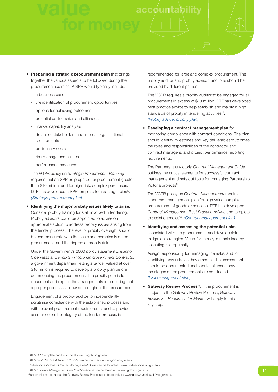- **Preparing a strategic procurement plan** that brings together the various aspects to be followed during the procurement exercise. A SPP would typically include:
	- a business case
	- the identification of procurement opportunities
	- options for achieving outcomes
	- potential partnerships and alliances
	- market capability analysis
	- details of stakeholders and internal organisational requirements
	- preliminary costs
	- risk management issues
	- performance measures.

 The VGPB policy on *Strategic Procurement Planning* requires that an SPP be prepared for procurement greater than \$10 million, and for high-risk, complex purchases. DTF has developed a SPP template to assist agencies<sup>12</sup>. *(Strategic procurement plan)*

• **Identifying the major probity issues likely to arise.** Consider probity training for staff involved in tendering. Probity advisors could be appointed to advise on appropriate action to address probity issues arising from the tender process. The level of probity oversight should be commensurate with the scale and complexity of the procurement, and the degree of probity risk.

 Under the Government's 2000 policy statement *Ensuring Openness and Probity in Victorian Government Contracts*, a government department letting a tender valued at over \$10 million is required to develop a probity plan before commencing the procurement. The probity plan is to document and explain the arrangements for ensuring that a proper process is followed throughout the procurement.

 Engagement of a probity auditor to independently scrutinise compliance with the established process and with relevant procurement requirements, and to provide assurance on the integrity of the tender process, is

 recommended for large and complex procurement. The probity auditor and probity advisor functions should be provided by different parties.

 The VGPB requires a probity auditor to be engaged for all procurements in excess of \$10 million. DTF has developed best practice advice to help establish and maintain high standards of probity in tendering activities<sup>13</sup>. *(Probity advice, probity plan)*

#### • **Developing a contract management plan** for

monitoring compliance with contract conditions. The plan should identify milestones and key deliverables/outcomes, the roles and responsibilities of the contractor and contract managers, and project performance reporting requirements.

 The Partnerships Victoria *Contract Management Guide* outlines the critical elements for successful contract management and sets out tools for managing Partnership Victoria projects<sup>14</sup>.

 The VGPB policy on *Contract Management* requires a contract management plan for high value complex procurement of goods or services. DTF has developed a *Contract Management Best Practice Advice* and template to assist agencies<sup>15</sup>. *(Contract management plan)* 

• **Identifying and assessing the potential risks** associated with the procurement, and develop risk mitigation strategies. Value-for-money is maximised by allocating risk optimally.

 Assign responsibility for managing the risks, and for identifying new risks as they emerge. The assessment should be documented and should influence how the stages of the procurement are conducted. *(Risk management plan)*

• **Gateway Review Process**16. If the procurement is subject to the Gateway Review Process, *Gateway Review 3 – Readiness for Market* will apply to this key step.

<sup>12</sup> DTF's SPP template can be found at <www.vgpb.vic.gov.au>.

<sup>13</sup> DTF's *Best Practice Advice on Probity* can be found at <www.vgpb.vic.gov.au>.

<sup>14</sup> Partnerships Victoria's *Contract Management Guide* can be found at <www.partnerships.vic.gov.au>.

<sup>15</sup> DTF's *Contract Management Best Practice Advice* can be found at <www.vgpb.vic.gov.au>.

<sup>16</sup> Further information about the Gateway Review Process can be found at <www.gatewayreview.dtf.vic.gov.au>.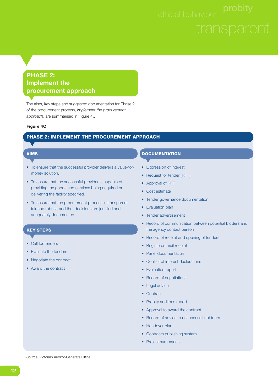#### **PHASE 2: Implement the procurement approach**

The aims, key steps and suggested documentation for Phase 2 of the procurement process, *Implement the procurement approach*, are summarised in Figure 4C.

#### **Figure 4C**

#### **PHASE 2: IMPLEMENT THE PROCUREMENT APPROACH**

#### **AIMS**

- To ensure that the successful provider delivers a value-formoney solution.
- To ensure that the successful provider is capable of providing the goods and services being acquired or delivering the facility specified.
- To ensure that the procurement process is transparent, fair and robust, and that decisions are justified and adequately documented.

#### **KEY STEPS**

- 
- Call for tenders
- Evaluate the tenders
- Negotiate the contract
- Award the contract

#### **DOCUMENTATION**

- Expression of interest
- Request for tender (RFT)
- Approval of RFT
- Cost estimate
- Tender governance documentation
- Evaluation plan
- Tender advertisement
- Record of communication between potential bidders and the agency contact person
- Record of receipt and opening of tenders
- Registered mail receipt
- Panel documentation
- Conflict of interest declarations
- Evaluation report
- Record of negotiations
- Legal advice
- Contract
- Probity auditor's report
- Approval to award the contract
- Record of advice to unsuccessful bidders
- Handover plan
- Contracts publishing system
- Project summaries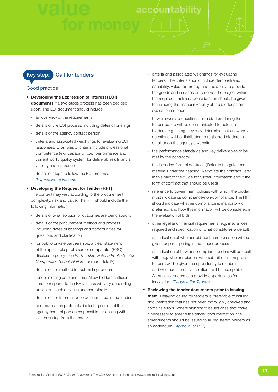## **accounta**

#### **Key step: Call for tenders**

#### Good practice

- **Developing the Expression of Interest (EOI) documents** if a two-stage process has been decided upon. The EOI document should include:
	- an overview of the requirements
	- details of the EOI process, including dates of briefings
	- details of the agency contact person
	- criteria and associated weightings for evaluating EOI responses. Examples of criteria include professional competence (e.g. capability, past performance and current work, quality system for deliverables), financial viability and insurance
	- details of steps to follow the EOI process. *(Expression of Interest)*
- **Developing the Request for Tender (RFT).** The content may vary according to the procurement complexity, risk and value. The RFT should include the following information:
	- details of what solution or outcomes are being sought
	- details of the procurement method and process including dates of briefings and opportunities for questions and clarification
	- for public-private partnerships, a clear statement of the applicable public sector comparator (PSC) disclosure policy (see *Partnership Victoria Public Sector Comparator Technical Note* for more detail<sup>17</sup>)
	- details of the method for submitting tenders
	- tender closing date and time. Allow bidders sufficient time to respond to the RFT. Times will vary depending on factors such as value and complexity
	- details of the information to be submitted in the tender
	- communication protocols, including details of the agency contact person responsible for dealing with issues arising from the tender
- criteria and associated weightings for evaluating tenders. The criteria should include demonstrated capability, value-for-money, and the ability to provide the goods and services or to deliver the project within the required timelines. Consideration should be given to including the financial viability of the bidder as an evaluation criterion
- how answers to questions from bidders during the tender period will be communicated to potential bidders, e.g. an agency may determine that answers to questions will be distributed to registered bidders via email or on the agency's website
- the performance standards and key deliverables to be met by the contractor
- the intended form of contract. (Refer to the guidance material under the heading 'Negotiate the contract' later in this part of the guide for further information about the form of contract that should be used)
- reference to government policies with which the bidder must indicate its compliance/non-compliance. The RFT should indicate whether compliance is mandatory or preferred, and how this information will be considered in the evaluation of bids
- other legal and financial requirements, e.g. insurances required and specification of what constitutes a default
- an indication of whether bid-cost compensation will be given for participating in the tender process
- an indication of how non-compliant tenders will be dealt with, e.g. whether bidders who submit non-compliant tenders will be given the opportunity to resubmit, and whether alternative solutions will be acceptable. Alternative tenders can provide opportunities for innovation. *(Request For Tender)*
- **Reviewing the tender documents prior to issuing them.** Delaying calling for tenders is preferable to issuing documentation that has not been thoroughly checked and contains errors. Where significant issues arise that make it necessary to amend the tender documentation, the amendments should be issued to all registered bidders as an addendum. *(Approval of RFT)*

<sup>17</sup> Partnerships Victoria's *Public Sector Comparator Technical Note* can be found at <www.partnerships.vic.gov.au>.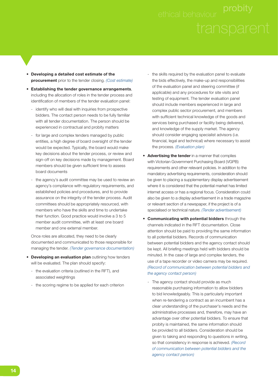- **Developing a detailed cost estimate of the procurement** prior to the tender closing. *(Cost estimate)*
- **Establishing the tender governance arrangements**, including the allocation of roles in the tender process and identification of members of the tender evaluation panel:
	- identify who will deal with inquiries from prospective bidders. The contact person needs to be fully familiar with all tender documentation. The person should be experienced in contractual and probity matters
	- for large and complex tenders managed by public entities, a high degree of board oversight of the tender would be expected. Typically, the board would make key decisions about the tender process, or review and sign-off on key decisions made by management. Board members should be given sufficient time to assess board documents
	- the agency's audit committee may be used to review an agency's compliance with regulatory requirements, and established policies and procedures, and to provide assurance on the integrity of the tender process. Audit committees should be appropriately resourced, with members who have the skills and time to undertake their function. Good practice would involve a 3 to 5 member audit committee, with at least one board member and one external member.

 Once roles are allocated, they need to be clearly documented and communicated to those responsible for managing the tender. *(Tender governance documentation)*

- **Developing an evaluation plan** outlining how tenders will be evaluated. The plan should specify:
	- the evaluation criteria (outlined in the RFT), and associated weightings
	- the scoring regime to be applied for each criterion
- the skills required by the evaluation panel to evaluate the bids effectively, the make-up and responsibilities of the evaluation panel and steering committee (if applicable) and any procedures for site visits and testing of equipment. The tender evaluation panel should include members experienced in large and complex public sector procurement, and members with sufficient technical knowledge of the goods and services being purchased or facility being delivered, and knowledge of the supply market. The agency should consider engaging specialist advisors (i.e. financial, legal and technical) where necessary to assist the process. *(Evaluation plan)*
- **Advertising the tender** in a manner that complies with Victorian Government Purchasing Board (VGPB) requirements and other relevant policies. In addition to the mandatory advertising requirements, consideration should be given to placing a supplementary display advertisement where it is considered that the potential market has limited internet access or has a regional focus. Consideration could also be given to a display advertisement in a trade magazine or relevant section of a newspaper, if the project is of a specialised or technical nature. *(Tender advertisement)*
- **Communicating with potential bidders** through the channels indicated in the RFT documentation. Close attention should be paid to providing the same information to all potential bidders. Records of communication between potential bidders and the agency contact should be kept. All briefing meetings held with bidders should be minuted. In the case of large and complex tenders, the use of a tape recorder or video camera may be required. *(Record of communication between potential bidders and the agency contact person)*
	- The agency contact should provide as much reasonable purchasing information to allow bidders to bid knowledgeably. This is particularly important when re-tendering a contract as an incumbent has a clear understanding of the purchaser's needs and the administrative processes and, therefore, may have an advantage over other potential bidders. To ensure that probity is maintained, the same information should be provided to all bidders. Consideration should be given to taking and responding to questions in writing, so that consistency in response is achieved. *(Record of communication between potential bidders and the agency contact person)*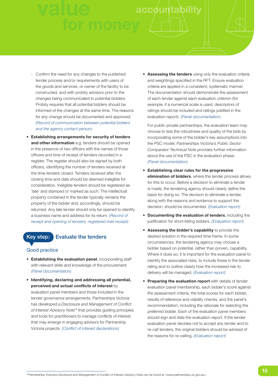## **value accounta**

- Confirm the need for any changes to the published tender process and/or requirements with users of the goods and services, or owner of the facility to be constructed, and with probity advisors prior to the changes being communicated to potential bidders. Probity requires that all potential bidders should be informed of the changes at the same time. The reasons for any change should be documented and approved. *(Record of communication between potential bidders and the agency contact person)*
- **Establishing arrangements for security of tenders and other information** e.g. tenders should be opened in the presence of two officers with the names of those officers and time of receipt of tenders recorded in a register. The register should also be signed by both officers, identifying the number of tenders received at the time tenders closed. Tenders received after the closing time and date should be deemed ineligible for consideration. Ineligible tenders should be registered as 'late' and stamped or marked as such. The intellectual property contained in the tender typically remains the property of the bidder and, accordingly, should be returned. Any late tender should only be opened to identify a business name and address for its return. *(Record of receipt and opening of tenders, registered mail receipt)*

#### **Key step: Evaluate the tenders**

#### Good practice

- **Establishing the evaluation panel**, incorporating staff with relevant skills and knowledge of the procurement. *(Panel documentation)*
- **Identifying, declaring and addressing all potential, perceived and actual conflicts of interest** by evaluation panel members and those included in the tender governance arrangements. Partnerships Victoria has developed a *Disclosure and Management of Conflict of Interest Advisory Note*18 that provides guiding principles and tools for practitioners to manage conflicts of interest that may emerge in engaging advisors for Partnership Victoria projects. *(Conflict of interest declarations)*

• **Assessing the tenders** using only the evaluation criteria and weightings specified in the RFT. Ensure evaluation criteria are applied in a consistent, systematic manner. The documentation should demonstrate the assessment of each tender against each evaluation criterion (for example, if a numerical scale is used, descriptors of ratings should be included and ratings justified in the evaluation report). *(Panel documentation)*

 For public-private partnerships, the evaluation team may choose to test the robustness and quality of the bids by incorporating some of the bidder's key assumptions into the PSC model. Partnerships Victoria's *Public Sector Comparator Technical Note* provides further information about the use of the PSC in the evaluation phase. *(Panel documentation)*

- **Establishing clear rules for the progressive elimination of bidders**, where the tender process allows for this to occur. Before a decision to eliminate a tender is made, the tendering agency should clearly define the basis for doing so. The decision to eliminate a tender, along with the reasons and evidence to support the decision, should be documented. *(Evaluation report)*
- **Documenting the evaluation of tenders**, including the justification for short-listing bidders. *(Evaluation report)*
- **Assessing the bidder's capability** to provide the desired solution in the required time frame. In some circumstances, the tendering agency may choose a bidder based on potential, rather than proven, capability. Where it does so, it is important for the evaluation panel to identify the associated risks, to include these in the tender rating and to outline clearly how the increased risk to delivery will be managed. *(Evaluation report)*
- **Preparing the evaluation report** with details of tender evaluation panel membership, each bidder's score against the assessment criteria, the total scores for each bidder, results of reference and viability checks, and the panel's recommendation, including the rationale for selecting the preferred bidder. Each of the evaluation panel members should sign and date the evaluation report. If the tender evaluation panel decides not to accept any tender and to re-call tenders, the original bidders should be advised of the reasons for re-calling. *(Evaluation report)*

<sup>18</sup> Partnerships Victoria's *Disclosure and Management of Conflict of Interest Advisory Note* can be found at <www.partnerships.vic.gov.au>.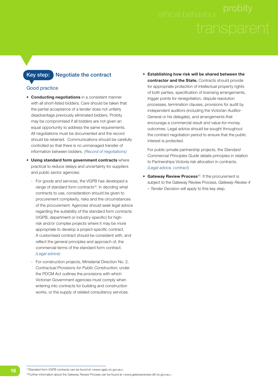

#### **Key step: Negotiate the contract**

#### Good practice

- **Conducting negotiations** in a consistent manner with all short-listed bidders. Care should be taken that the partial acceptance of a tender does not unfairly disadvantage previously eliminated bidders. Probity may be compromised if all bidders are not given an equal opportunity to address the same requirements. All negotiations must be documented and the record should be retained. Communications should be carefully controlled so that there is no unmanaged transfer of information between bidders. *(Record of negotiations)*
- **Using standard form government contracts** where practical to reduce delays and uncertainty for suppliers and public sector agencies:
	- For goods and services, the VGPB has developed a range of standard form contracts<sup>19</sup>. In deciding what contracts to use, consideration should be given to procurement complexity, risks and the circumstances of the procurement. Agencies should seek legal advice regarding the suitability of the standard form contracts (VGPB, department or industry-specific) for highrisk and/or complex projects where it may be more appropriate to develop a project-specific contract. A customised contract should be consistent with, and reflect the general principles and approach of, the commercial terms of the standard form contract. *(Legal advice)*
	- For construction projects, Ministerial Direction No. 2, *Contractual Provisions for Public Construction*, under the PDCM Act outlines the provisions with which Victorian Government agencies must comply when entering into contracts for building and construction works, or the supply of related consultancy services.

• **Establishing how risk will be shared between the contractor and the State.** Contracts should provide for appropriate protection of intellectual property rights of both parties, specification of licensing arrangements, trigger points for renegotiation, dispute resolution processes, termination clauses, provisions for audit by independent auditors (including the Victorian Auditor-General or his delegate), and arrangements that encourage a commercial result and value-for-money outcomes. Legal advice should be sought throughout the contract negotiation period to ensure that the public interest is protected.

 For public-private partnership projects, the *Standard Commercial Principles Guide* details principles in relation to Partnerships Victoria risk allocation in contracts. *(Legal advice, contract)*

**• Gateway Review Process**<sup>20</sup>. If the procurement is subject to the Gateway Review Process, *Gateway Review 4 – Tender Decision* will apply to this key step.

19 Standard form VGPB contracts can be found at <www.vgpb.vic.gov.au>.

<sup>20</sup> Further information about the Gateway Review Process can be found at <www.gatewayreview.dtf.vic.gov.au>.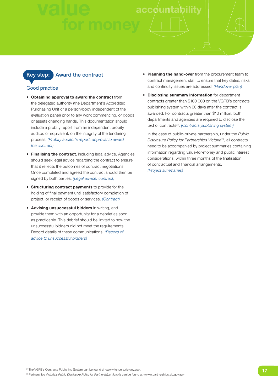#### **Key step:** Award the contract

#### Good practice

- **Obtaining approval to award the contract** from the delegated authority (the Department's Accredited Purchasing Unit or a person/body independent of the evaluation panel) prior to any work commencing, or goods or assets changing hands. This documentation should include a probity report from an independent probity auditor, or equivalent, on the integrity of the tendering process. *(Probity auditor's report, approval to award the contract)*
- **Finalising the contract**, including legal advice. Agencies should seek legal advice regarding the contract to ensure that it reflects the outcomes of contract negotiations. Once completed and agreed the contract should then be signed by both parties. *(Legal advice, contract)*
- **Structuring contract payments** to provide for the holding of final payment until satisfactory completion of project, or receipt of goods or services. *(Contract)*
- **Advising unsuccessful bidders** in writing, and provide them with an opportunity for a debrief as soon as practicable. This debrief should be limited to how the unsuccessful bidders did not meet the requirements. Record details of these communications. *(Record of advice to unsuccessful bidders)*
- **Planning the hand-over** from the procurement team to contract management staff to ensure that key dates, risks and continuity issues are addressed. *(Handover plan)*
- **Disclosing summary information** for department contracts greater than \$100 000 on the VGPB's contracts publishing system within 60 days after the contract is awarded. For contracts greater than \$10 million, both departments and agencies are required to disclose the text of contracts21. *(Contracts publishing system)*

 In the case of public-private partnership, under the *Public Disclosure Policy for Partnerships Victoria*22, all contracts need to be accompanied by project summaries containing information regarding value-for-money and public interest considerations, within three months of the finalisation of contractual and financial arrangements. *(Project summaries)*

<sup>&</sup>lt;sup>21</sup> The VGPB's Contracts Publishing System can be found at <www.tenders.vic.gov.au>.

<sup>22</sup> Partnerships Victoria's *Public Disclosure Policy for Partnerships Victoria* can be found at <www.partnerships.vic.gov.au>.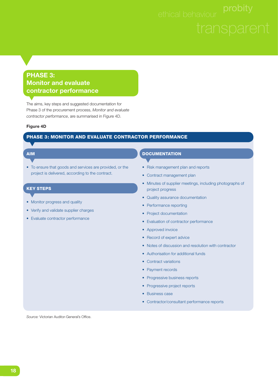#### **PHASE 3: Monitor and evaluate contractor performance**

The aims, key steps and suggested documentation for Phase 3 of the procurement process, *Monitor and evaluate contractor performance*, are summarised in Figure 4D.

#### **Figure 4D**

#### **PHASE 3: MONITOR AND EVALUATE CONTRACTOR PERFORMANCE**

#### **AIM**

• To ensure that goods and services are provided, or the project is delivered, according to the contract.

#### **KEY STEPS**

- 
- Monitor progress and quality
- Verify and validate supplier charges
- Evaluate contractor performance

#### **DOCUMENTATION**

- Risk management plan and reports
- Contract management plan
- Minutes of supplier meetings, including photographs of project progress
- Quality assurance documentation
- Performance reporting
- Project documentation
- Evaluation of contractor performance
- Approved invoice
- Record of expert advice
- Notes of discussion and resolution with contractor
- Authorisation for additional funds
- Contract variations
- Payment records
- Progressive business reports
- Progressive project reports
- Business case
- Contractor/consultant performance reports

Source: Victorian Auditor-General's Office.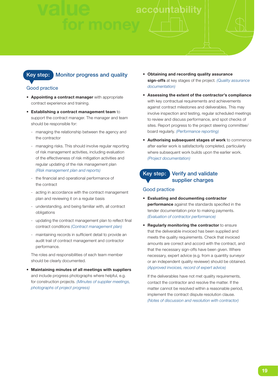#### **Key step: Monitor progress and quality**

#### Good practice

- **Appointing a contract manager** with appropriate contract experience and training.
- **Establishing a contract management team** to support the contract manager. The manager and team should be responsible for:
	- managing the relationship between the agency and the contractor
	- managing risks. This should involve regular reporting of risk management activities, including evaluation of the effectiveness of risk mitigation activities and regular updating of the risk management plan *(Risk management plan and reports)*
	- the financial and operational performance of the contract
	- acting in accordance with the contract management plan and reviewing it on a regular basis
	- understanding, and being familiar with, all contract obligations
	- updating the contract management plan to reflect final contract conditions *(Contract management plan)*
	- maintaining records in sufficient detail to provide an audit trail of contract management and contractor performance.

 The roles and responsibilities of each team member should be clearly documented.

• **Maintaining minutes of all meetings with suppliers** and include progress photographs where helpful, e.g. for construction projects. *(Minutes of supplier meetings, photographs of project progress)*

- **Obtaining and recording quality assurance sign-offs** at key stages of the project. *(Quality assurance documentation)*
- **Assessing the extent of the contractor's compliance** with key contractual requirements and achievements against contract milestones and deliverables. This may involve inspection and testing, regular scheduled meetings to review and discuss performance, and spot checks of sites. Report progress to the project steering committee/ board regularly. *(Performance reporting)*
- **Authorising subsequent stages of work** to commence after earlier work is satisfactorily completed, particularly where subsequent work builds upon the earlier work. *(Project documentation)*

**Key step: Verify and validate supplier charges**

#### Good practice

- **Evaluating and documenting contractor performance** against the standards specified in the tender documentation prior to making payments. *(Evaluation of contractor performance)*
- **Regularly monitoring the contractor** to ensure that the deliverable invoiced has been supplied and meets the quality requirements. Check that invoiced amounts are correct and accord with the contract, and that the necessary sign-offs have been given. Where necessary, expert advice (e.g. from a quantity surveyor or an independent quality reviewer) should be obtained. *(Approved invoices, record of expert advice)*

 If the deliverables have not met quality requirements, contact the contractor and resolve the matter. If the matter cannot be resolved within a reasonable period, implement the contract dispute resolution clause. *(Notes of discussion and resolution with contractor)*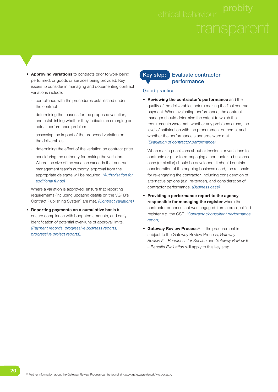- **Approving variations** to contracts prior to work being performed, or goods or services being provided. Key issues to consider in managing and documenting contract variations include:
	- compliance with the procedures established under the contract
	- determining the reasons for the proposed variation, and establishing whether they indicate an emerging or actual performance problem
	- assessing the impact of the proposed variation on the deliverables
	- determining the effect of the variation on contract price
	- considering the authority for making the variation. Where the size of the variation exceeds that contract management team's authority, approval from the appropriate delegate will be required. *(Authorisation for additional funds)*

 Where a variation is approved, ensure that reporting requirements (including updating details on the VGPB's Contract Publishing System) are met. *(Contract variations)*

• **Reporting payments on a cumulative basis** to ensure compliance with budgeted amounts, and early identification of potential over-runs of approval limits. *(Payment records, progressive business reports, progressive project reports).*

#### **Key step: Evaluate contractor performance**

#### Good practice

• **Reviewing the contractor's performance** and the quality of the deliverables before making the final contract payment. When evaluating performance, the contract manager should determine the extent to which the requirements were met, whether any problems arose, the level of satisfaction with the procurement outcome, and whether the performance standards were met. *(Evaluation of contractor performance)*

 When making decisions about extensions or variations to contracts or prior to re-engaging a contractor, a business case (or similar) should be developed. It should contain consideration of the ongoing business need, the rationale for re-engaging the contractor, including consideration of alternative options (e.g. re-tender), and consideration of contractor performance. *(Business case)*

- **Providing a performance report to the agency responsible for managing the register** where the contractor or consultant was engaged from a pre-qualified register e.g. the CSR. *(Contractor/consultant performance report)*
- **Gateway Review Process**<sup>23</sup>. If the procurement is subject to the Gateway Review Process, *Gateway Review 5 – Readiness for Service* and *Gateway Review 6*  - Benefits Evaluation will apply to this key step.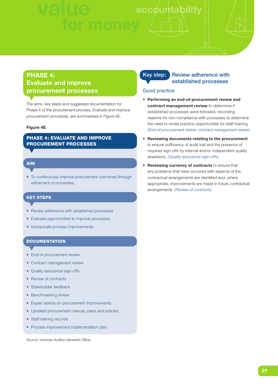### **v accounta**

### **PHASE 4: Evaluate and improve procurement processes**

The aims, key steps and suggested documentation for Phase 4 of the procurement process, *Evaluate and improve procurement processes*, are summarised in Figure 4E.

#### **Figure 4E**

#### **PHASE 4: EVALUATE AND IMPROVE PROCUREMENT PROCESSES**

#### **AIM**

• To continuously improve procurement outcomes through refinement of processes.

#### **KEY STEPS**

- Review adherence with established processes
- Evaluate opportunities to improve processes
- Incorporate process improvements

#### **DOCUMENTATION**

- End-of-procurement review
- Contract management review
- Quality assurance sign-offs
- Review of contracts
- Stakeholder feedback
- Benchmarking review
- Expert advice on procurement improvements
- Updated procurement manual, plans and policies
- Staff training records
- Process improvement implementation plan

*Source:* Victorian Auditor-General's Office.

#### **Key step:** Review adherence with **established processes**

#### Good practice

- **Performing an end-of-procurement review and contract management review** to determine if established processes were followed, recording reasons for non-compliance with processes to determine the need to revise practice opportunities for staff training. *(End-of-procurement review, contract management review)*
- **Reviewing documents relating to the procurement** to ensure sufficiency of audit trail and the presence of required sign-offs by internal and/or independent quality assessors. *(Quality assurance sign-offs)*
- **Reviewing currency of contracts** to ensure that any problems that have occurred with aspects of the contractual arrangements are identified and, where appropriate, improvements are made in future contractual arrangements. *(Review of contracts)*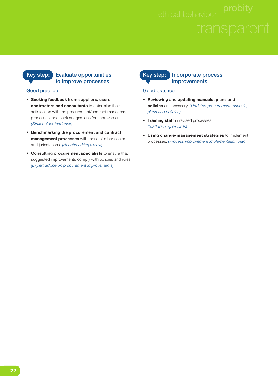#### **Key step: Evaluate opportunities to improve processes**

#### Good practice

- **Seeking feedback from suppliers, users, contractors and consultants** to determine their satisfaction with the procurement/contract management processes, and seek suggestions for improvement. *(Stakeholder feedback)*
- **Benchmarking the procurement and contract management processes** with those of other sectors and jurisdictions. *(Benchmarking review)*
- **Consulting procurement specialists** to ensure that suggested improvements comply with policies and rules. *(Expert advice on procurement improvements)*

#### **Key step: Incorporate process improvements**

#### Good practice

- **Reviewing and updating manuals, plans and policies** as necessary. *(Updated procurement manuals, plans and policies)*
- **Training staff** in revised processes. *(Staff training records)*
- **Using change-management strategies** to implement processes. *(Process improvement implementation plan)*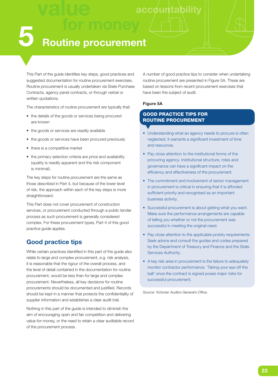### **5 Routine procurement**

This Part of the guide identifies key steps, good practices and suggested documentation for routine procurement exercises. Routine procurement is usually undertaken via State Purchase Contracts, agency panel contracts, or through verbal or written quotations.

The characteristics of routine procurement are typically that:

- the details of the goods or services being procured are known
- the goods or services are readily available
- the goods or services have been procured previously
- there is a competitive market
- the primary selection criteria are price and availability (quality is readily apparent and the risk component is minimal).

The key steps for routine procurement are the same as those described in Part 4, but because of the lower level of risk, the approach within each of the key steps is more straightforward.

This Part does not cover procurement of construction services, or procurement conducted through a public tender process as such procurement is generally considered complex. For these procurement types, Part 4 of this good practice guide applies.

#### **Good practice tips**

While certain practices identified in this part of the guide also relate to large and complex procurement, e.g. risk analysis, it is reasonable that the rigour of the overall process, and the level of detail contained in the documentation for routine procurement, would be less than for large and complex procurement. Nevertheless, all key decisions for routine procurements should be documented and justified. Records should be kept in a manner that protects the confidentiality of supplier information and establishes a clear audit trail.

Nothing in this part of the guide is intended to diminish the aim of encouraging open and fair competition and delivering value-for-money, or the need to retain a clear auditable record of the procurement process.

A number of good practice tips to consider when undertaking routine procurement are presented in Figure 5A. These are based on lessons from recent procurement exercises that have been the subject of audit.

#### **Figure 5A**

#### **GOOD PRACTICE TIPS FOR ROUTINE PROCUREMENT**

- Understanding what an agency needs to procure is often neglected; it warrants a significant investment of time and resources.
- Pay close attention to the institutional forms of the procuring agency. Institutional structure, roles and governance can have a significant impact on the efficiency and effectiveness of the procurement.
- The commitment and involvement of senior management in procurement is critical in ensuring that it is afforded sufficient priority and recognised as an important business activity.
- Successful procurement is about getting what you want. Make sure the performance arrangements are capable of telling you whether or not the procurement was successful in meeting the original need.
- Pay close attention to the applicable probity requirements. Seek advice and consult the guides and codes prepared by the Department of Treasury and Finance and the State Services Authority.
- A key risk area in procurement is the failure to adequately monitor contractor performance. 'Taking your eye off the ball' once the contract is signed poses major risks for successful procurement.

*Source:* Victorian Auditor-General's Office.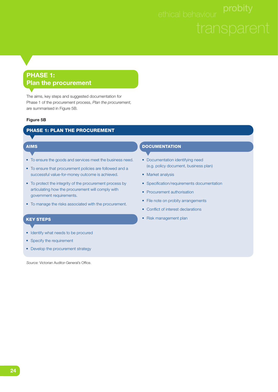### **PHASE 1: Plan the procurement**

The aims, key steps and suggested documentation for Phase 1 of the procurement process, *Plan the procurement,* are summarised in Figure 5B.

#### **Figure 5B**

#### **PHASE 1: PLAN THE PROCUREMENT**

#### **AIMS**

- To ensure the goods and services meet the business need.
- To ensure that procurement policies are followed and a successful value-for-money outcome is achieved.
- To protect the integrity of the procurement process by articulating how the procurement will comply with government requirements.
- To manage the risks associated with the procurement.

#### **KEY STEPS**

- Identify what needs to be procured
- Specify the requirement
- Develop the procurement strategy

Source: Victorian Auditor-General's Office.

#### **DOCUMENTATION**

- Documentation identifying need (e.g. policy document, business plan)
- Market analysis
- Specification/requirements documentation
- Procurement authorisation
- File note on probity arrangements
- Conflict of interest declarations
- Risk management plan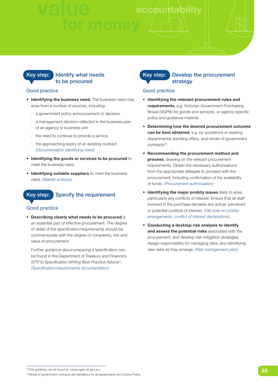

#### Good practice

- **Identifying the business need.** The business need may arise from a number of sources, including:
	- a government policy announcement or decision
	- a management decision reflected in the business plan of an agency or business unit
	- the need to continue to provide a service
	- the approaching expiry of an existing contract. *(Documentation identifying need)*
- **Identifying the goods or services to be procured** to meet the business need.
- **Identifying suitable suppliers** to meet the business need. *(Market analysis)*

### **Key step: Specify the requirement**

#### Good practice

• **Describing clearly what needs to be procured** is an essential part of effective procurement. The degree of detail of the specification/requirements should be commensurate with the degree of complexity, risk and value of procurement.

Further guidance about preparing a specification can be found in the Department of Treasury and Finance's (DTF's) Specification Writing Best Practice Advice<sup>24</sup>. *(Specifi cation/requirements documentation)*

#### **Key step: Develop the procurement strategy**

#### Good practice

- **Identifying the relevant procurement rules and requirements**, e.g. Victorian Government Purchasing Broad (VGPB) for goods and services, or agency-specific policy and guidance material.
- **Determining how the desired procurement outcome can be best obtained**, e.g. by quotations or existing departmental standing offers, and whole-of-government contracts<sup>25</sup>.
- **Recommending the procurement method and process**, drawing on the relevant procurement requirements. Obtain the necessary authorisations from the appropriate delegate to proceed with the procurement, including confirmation of the availability of funds. *(Procurement authorisation)*
- **Identifying the major probity issues** likely to arise, particularly any conflicts of interest. Ensure that all staff involved in the purchase declares any actual, perceived or potential conflicts of interest. (File note on probity *arrangements, confl ict of interest declarations)*
- **Conducting a desktop risk analysis to identify and assess the potential risks** associated with the procurement, and develop risk mitigation strategies. Assign responsibility for managing risks, and identifying new risks as they emerge. *(Risk management plan)*

<sup>24</sup> This guidance can be found at <www.vgpb.vic.gov.au>.

<sup>25</sup> Whole-of-government contracts are mandatory for all departments and Victoria Police.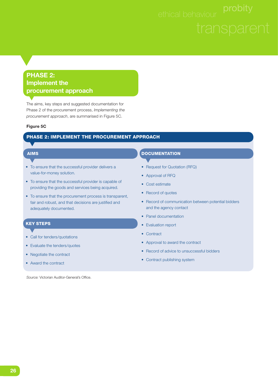#### **PHASE 2: Implement the procurement approach**

The aims, key steps and suggested documentation for Phase 2 of the procurement process, *Implementing the procurement approach*, are summarised in Figure 5C.

#### **Figure 5C**

#### **PHASE 2: IMPLEMENT THE PROCUREMENT APPROACH**

#### **AIMS**

- To ensure that the successful provider delivers a value-for-money solution.
- To ensure that the successful provider is capable of providing the goods and services being acquired.
- To ensure that the procurement process is transparent, fair and robust, and that decisions are justified and adequately documented.

#### **KEY STEPS**

- Call for tenders/quotations
- Evaluate the tenders/quotes
- Negotiate the contract
- Award the contract

Source: Victorian Auditor-General's Office.

#### **DOCUMENTATION**

- Request for Quotation (RFQ)
- Approval of RFQ
- Cost estimate
- Record of quotes
- Record of communication between potential bidders and the agency contact
- Panel documentation
- Evaluation report
- Contract
- Approval to award the contract
- Record of advice to unsuccessful bidders
- Contract publishing system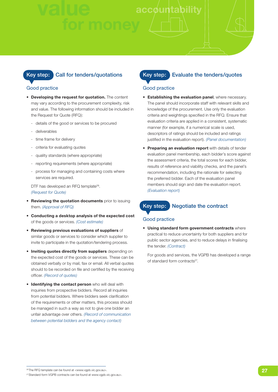#### **Key step: Call for tenders/quotations**

#### Good practice

- **Developing the request for quotation.** The content may vary according to the procurement complexity, risk and value. The following information should be included in the Request for Quote (RFQ):
	- details of the good or services to be procured
	- deliverables
	- time frame for delivery
	- criteria for evaluating quotes
	- quality standards (where appropriate)
	- reporting requirements (where appropriate)
	- process for managing and containing costs where services are required.

DTF has developed an RFQ template<sup>26</sup>. *(Request for Quote)*

- **Reviewing the quotation documents** prior to issuing them. *(Approval of RFQ)*
- **Conducting a desktop analysis of the expected cost** of the goods or services. *(Cost estimate)*
- **Reviewing previous evaluations of suppliers** of similar goods or services to consider which supplier to invite to participate in the quotation/tendering process.
- **Inviting quotes directly from suppliers** depending on the expected cost of the goods or services. These can be obtained verbally or by mail, fax or email. All verbal quotes should to be recorded on file and certified by the receiving officer. *(Record of quotes)*
- **Identifying the contact person** who will deal with inquiries from prospective bidders. Record all inquiries from potential bidders. Where bidders seek clarification of the requirements or other matters, this process should be managed in such a way as not to give one bidder an unfair advantage over others. *(Record of communication between potential bidders and the agency contact)*

#### **Key step: Evaluate the tenders/quotes**

#### Good practice

- **Establishing the evaluation panel**, where necessary. The panel should incorporate staff with relevant skills and knowledge of the procurement. Use only the evaluation criteria and weightings specified in the RFQ. Ensure that evaluation criteria are applied in a consistent, systematic manner (for example, if a numerical scale is used, descriptors of ratings should be included and ratings justified in the evaluation report). *(Panel documentation)*
- **Preparing an evaluation report** with details of tender evaluation panel membership, each bidder's score against the assessment criteria, the total scores for each bidder, results of reference and viability checks, and the panel's recommendation, including the rationale for selecting the preferred bidder. Each of the evaluation panel members should sign and date the evaluation report. *(Evaluation report)*

#### **Key step: Negotiate the contract**

#### Good practice

• **Using standard form government contracts** where practical to reduce uncertainty for both suppliers and for public sector agencies, and to reduce delays in finalising the tender. *(Contract)*

 For goods and services, the VGPB has developed a range of standard form contracts<sup>27</sup>.

<sup>26</sup> The RFQ template can be found at <www.vgpb.vic.gov.au>.

<sup>27</sup> Standard form VGPB contracts can be found at www.vgpb.vic.gov.au>.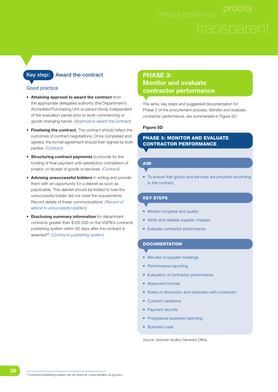#### **Key step:** Award the contract

#### Good practice

- **Attaining approval to award the contract** from the appropriate delegated authority (the Department's Accredited Purchasing Unit or person/body independent of the evaluation panel) prior to work commencing or goods changing hands. *(Approval to award the contract)*
- Finalising the contract. The contract should reflect the outcomes of contract negotiations. Once completed and agreed, the formal agreement should then signed by both parties. *(Contract)*
- **Structuring contract payments** to provide for the holding of final payment until satisfactory completion of project, or receipt of goods or services. *(Contract)*
- **Advising unsuccessful bidders** in writing and provide them with an opportunity for a debrief as soon as practicable. This debrief should be limited to how the unsuccessful bidder did not meet the requirements. Record details of these communications. *(Record of advice to unsuccessful bidders)*
- **Disclosing summary information** for department contracts greater than \$100 000 on the VGPB's contracts publishing system within 60 days after the contract is awarded28. *(Contracts publishing system)*

#### **PHASE 3: Monitor and evaluate contractor performance**

The aims, key steps and suggested documentation for Phase 3 of the procurement process, *Monitor and evaluate contractor performance*, are summarised in Figure 5D.

#### **Figure 5D**

#### **PHASE 3: MONITOR AND EVALUATE CONTRACTOR PERFORMANCE**

#### **AIM**

• To ensure that goods and services are provided according to the contract.

#### **KEY STEPS**

- Monitor progress and quality
- Verify and validate supplier charges
- Evaluate contractor performance

#### **DOCUMENTATION**

- Minutes of supplier meetings
- Performance reporting
- Evaluation of contractor performance
- Approved invoices
- Notes of discussion and resolution with contractor
- Contract variations
- Payment records
- Progressive business reporting
- Business case

*Source:* Victorian Auditor-General's Office.

28 Contracts publishing system can be found at <www.tenders.vic.gov.au>.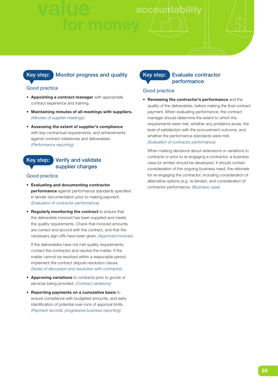#### **Key step: Monitor progress and quality**

#### Good practice

- **Appointing a contract manager** with appropriate contract experience and training.
- **Maintaining minutes of all meetings with suppliers.**  *(Minutes of supplier meetings)*
- **Assessing the extent of supplier's compliance** with key contractual requirements, and achievements against contract milestones and deliverables. *(Performance reporting)*

#### **Key step: Verify and validate supplier charges**

#### Good practice

- **Evaluating and documenting contractor performance** against performance standards specified in tender documentation prior to making payment. *(Evaluation of contractor performance)*
- **Regularly monitoring the contract** to ensure that the deliverable invoiced has been supplied and meets the quality requirements. Check that invoiced amounts are correct and accord with the contract, and that the necessary sign-offs have been given. *(Approved invoices)*

 If the deliverables have not met quality requirements, contact the contractor and resolve the matter. If the matter cannot be resolved within a reasonable period, implement the contract dispute resolution clause. *(Notes of discussion and resolution with contractor)*

- **Approving variations** to contracts prior to goods or services being provided. *(Contract variations)*
- **Reporting payments on a cumulative basis** to ensure compliance with budgeted amounts, and early identification of potential over-runs of approval limits. *(Payment records, progressive business reporting)*

#### **Key step: Evaluate contractor performance**

#### Good practice

• **Reviewing the contractor's performance** and the quality of the deliverables, before making the final contract payment. When evaluating performance, the contract manager should determine the extent to which the requirements were met, whether any problems arose, the level of satisfaction with the procurement outcome, and whether the performance standards were met. *(Evaluation of contractor performance)*

 When making decisions about extensions or variations to contracts or prior to re-engaging a contractor, a business case (or similar) should be developed. It should contain consideration of the ongoing business need, the rationale for re-engaging the contractor, including consideration of alternative options (e.g. re-tender), and consideration of contractor performance. *(Business case)*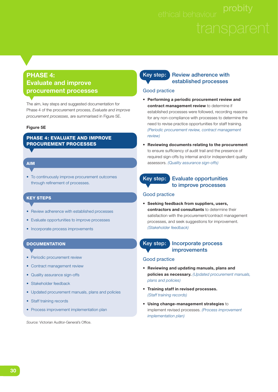#### **PHASE 4: Evaluate and improve procurement processes**

The aim, key steps and suggested documentation for Phase 4 of the procurement process, *Evaluate and improve procurement processes*, are summarised in Figure 5E.

#### **Figure 5E**

#### **PHASE 4: EVALUATE AND IMPROVE PROCUREMENT PROCESSES**

#### **AIM**

• To continuously improve procurement outcomes through refinement of processes.

#### **KEY STEPS**

- Review adherence with established processes
- Evaluate opportunities to improve processes
- Incorporate process improvements

#### **DOCUMENTATION**

- Periodic procurement review
- Contract management review
- Quality assurance sign-offs
- Stakeholder feedback
- Updated procurement manuals, plans and policies
- Staff training records
- Process improvement implementation plan

Source: Victorian Auditor-General's Office.

#### **Key step:** Review adherence with **established processes**

#### Good practice

- **Performing a periodic procurement review and contract management review** to determine if established processes were followed, recording reasons for any non-compliance with processes to determine the need to revise practice opportunities for staff training. *(Periodic procurement review, contract management review)*
- **Reviewing documents relating to the procurement** to ensure sufficiency of audit trail and the presence of required sign-offs by internal and/or independent quality assessors. *(Quality assurance sign-offs)*

#### **Key step: Evaluate opportunities to improve processes**

#### Good practice

• **Seeking feedback from suppliers, users, contractors and consultants** to determine their satisfaction with the procurement/contract management processes, and seek suggestions for improvement. *(Stakeholder feedback)*

#### **Key step: Incorporate process improvements**

#### Good practice

- **Reviewing and updating manuals, plans and policies as necessary.** *(Updated procurement manuals, plans and policies)*
- **Training staff in revised processes.** *(Staff training records)*
- **Using change-management strategies** to implement revised processes. *(Process improvement implementation plan)*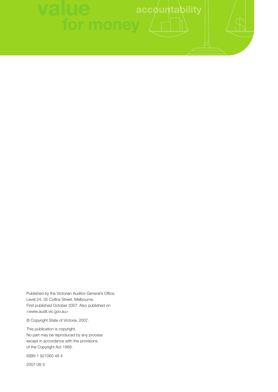Published by the Victorian Auditor-General's Office, Level 24, 35 Collins Street, Melbourne. First published October 2007. Also published on <www.audit.vic.gov.au>

© Copyright State of Victoria, 2007.

This publication is copyright. No part may be reproduced by any process except in accordance with the provisions of the Copyright Act 1968.

ISBN 1 921060 48 4

2007-08:5